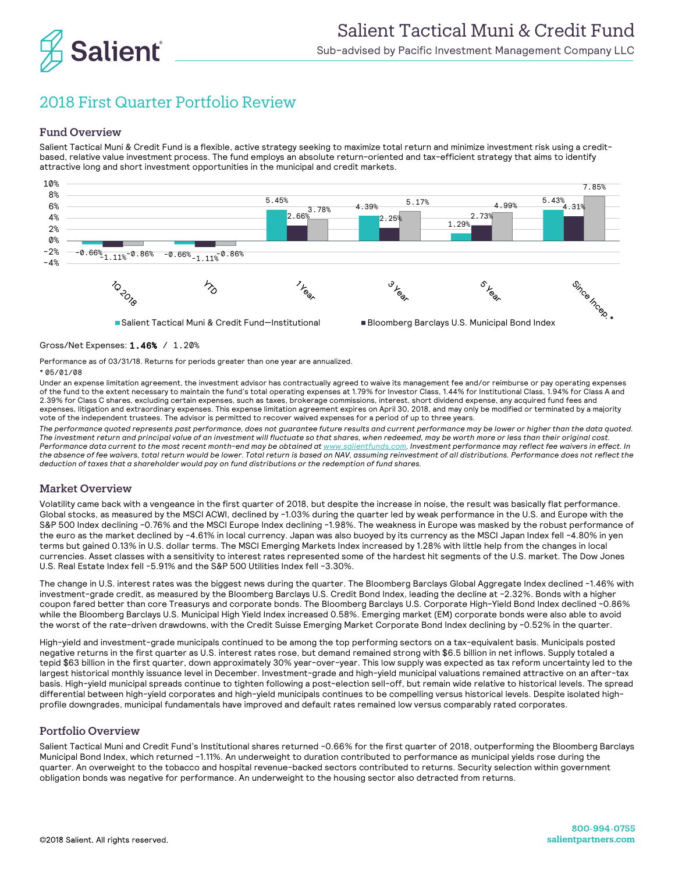

# 2018 First Quarter Portfolio Review

## Fund Overview

Salient Tactical Muni & Credit Fund is a flexible, active strategy seeking to maximize total return and minimize investment risk using a creditbased, relative value investment process. The fund employs an absolute return-oriented and tax-efficient strategy that aims to identify attractive long and short investment opportunities in the municipal and credit markets.



■Salient Tactical Muni & Credit Fund-Institutional ■ Bloomberg Barclays U.S. Municipal Bond Index



Gross/Net Expenses: 1.46% / 1.20%

Performance as of 03/31/18. Returns for periods greater than one year are annualized. \* 05/01/08

Under an expense limitation agreement, the investment advisor has contractually agreed to waive its management fee and/or reimburse or pay operating expenses of the fund to the extent necessary to maintain the fund's total operating expenses at 1.79% for Investor Class, 1.44% for Institutional Class, 1.94% for Class A and 2.39% for Class C shares, excluding certain expenses, such as taxes, brokerage commissions, interest, short dividend expense, any acquired fund fees and expenses, litigation and extraordinary expenses. This expense limitation agreement expires on April 30, 2018, and may only be modified or terminated by a majority vote of the independent trustees. The advisor is permitted to recover waived expenses for a period of up to three years.

*The performance quoted represents past performance, does not guarantee future results and current performance may be lower or higher than the data quoted. The investment return and principal value of an investment will fluctuate so that shares, when redeemed, may be worth more or less than their original cost. Performance data current to the most recent month-end may be obtained at www.salientfunds.com. Investment performance may reflect fee waivers in effect. In the absence of fee waivers, total return would be lower. Total return is based on NAV, assuming reinvestment of all distributions. Performance does not reflect the deduction of taxes that a shareholder would pay on fund distributions or the redemption of fund shares.*

## Market Overview

Volatility came back with a vengeance in the first quarter of 2018, but despite the increase in noise, the result was basically flat performance. Global stocks, as measured by the MSCI ACWI, declined by -1.03% during the quarter led by weak performance in the U.S. and Europe with the S&P 500 Index declining -0.76% and the MSCI Europe Index declining -1.98%. The weakness in Europe was masked by the robust performance of the euro as the market declined by -4.61% in local currency. Japan was also buoyed by its currency as the MSCI Japan Index fell -4.80% in yen terms but gained 0.13% in U.S. dollar terms. The MSCI Emerging Markets Index increased by 1.28% with little help from the changes in local currencies. Asset classes with a sensitivity to interest rates represented some of the hardest hit segments of the U.S. market. The Dow Jones U.S. Real Estate Index fell -5.91% and the S&P 500 Utilities Index fell -3.30%.

The change in U.S. interest rates was the biggest news during the quarter. The Bloomberg Barclays Global Aggregate Index declined -1.46% with investment-grade credit, as measured by the Bloomberg Barclays U.S. Credit Bond Index, leading the decline at -2.32%. Bonds with a higher coupon fared better than core Treasurys and corporate bonds. The Bloomberg Barclays U.S. Corporate High-Yield Bond Index declined -0.86% while the Bloomberg Barclays U.S. Municipal High Yield Index increased 0.58%. Emerging market (EM) corporate bonds were also able to avoid the worst of the rate-driven drawdowns, with the Credit Suisse Emerging Market Corporate Bond Index declining by -0.52% in the quarter.

High-yield and investment-grade municipals continued to be among the top performing sectors on a tax-equivalent basis. Municipals posted negative returns in the first quarter as U.S. interest rates rose, but demand remained strong with \$6.5 billion in net inflows. Supply totaled a tepid \$63 billion in the first quarter, down approximately 30% year-over-year. This low supply was expected as tax reform uncertainty led to the largest historical monthly issuance level in December. Investment-grade and high-yield municipal valuations remained attractive on an after-tax basis. High-yield municipal spreads continue to tighten following a post-election sell-off, but remain wide relative to historical levels. The spread differential between high-yield corporates and high-yield municipals continues to be compelling versus historical levels. Despite isolated highprofile downgrades, municipal fundamentals have improved and default rates remained low versus comparably rated corporates.

### Portfolio Overview

Salient Tactical Muni and Credit Fund's Institutional shares returned -0.66% for the first quarter of 2018, outperforming the Bloomberg Barclays Municipal Bond Index, which returned -1.11%. An underweight to duration contributed to performance as municipal yields rose during the quarter. An overweight to the tobacco and hospital revenue-backed sectors contributed to returns. Security selection within government obligation bonds was negative for performance. An underweight to the housing sector also detracted from returns.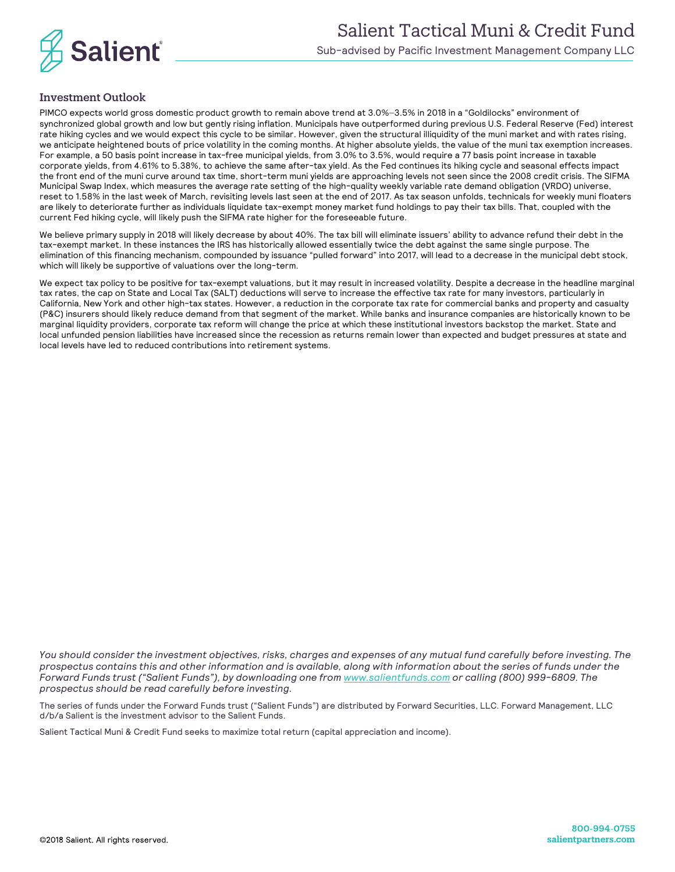

# Investment Outlook

PIMCO expects world gross domestic product growth to remain above trend at 3.0%–3.5% in 2018 in a "Goldilocks" environment of synchronized global growth and low but gently rising inflation. Municipals have outperformed during previous U.S. Federal Reserve (Fed) interest rate hiking cycles and we would expect this cycle to be similar. However, given the structural illiquidity of the muni market and with rates rising, we anticipate heightened bouts of price volatility in the coming months. At higher absolute yields, the value of the muni tax exemption increases. For example, a 50 basis point increase in tax-free municipal yields, from 3.0% to 3.5%, would require a 77 basis point increase in taxable corporate yields, from 4.61% to 5.38%, to achieve the same after-tax yield. As the Fed continues its hiking cycle and seasonal effects impact the front end of the muni curve around tax time, short-term muni yields are approaching levels not seen since the 2008 credit crisis. The SIFMA Municipal Swap Index, which measures the average rate setting of the high-quality weekly variable rate demand obligation (VRDO) universe, reset to 1.58% in the last week of March, revisiting levels last seen at the end of 2017. As tax season unfolds, technicals for weekly muni floaters are likely to deteriorate further as individuals liquidate tax-exempt money market fund holdings to pay their tax bills. That, coupled with the current Fed hiking cycle, will likely push the SIFMA rate higher for the foreseeable future.

We believe primary supply in 2018 will likely decrease by about 40%. The tax bill will eliminate issuers' ability to advance refund their debt in the tax-exempt market. In these instances the IRS has historically allowed essentially twice the debt against the same single purpose. The elimination of this financing mechanism, compounded by issuance "pulled forward" into 2017, will lead to a decrease in the municipal debt stock, which will likely be supportive of valuations over the long-term.

We expect tax policy to be positive for tax-exempt valuations, but it may result in increased volatility. Despite a decrease in the headline marginal tax rates, the cap on State and Local Tax (SALT) deductions will serve to increase the effective tax rate for many investors, particularly in California, New York and other high-tax states. However, a reduction in the corporate tax rate for commercial banks and property and casualty (P&C) insurers should likely reduce demand from that segment of the market. While banks and insurance companies are historically known to be marginal liquidity providers, corporate tax reform will change the price at which these institutional investors backstop the market. State and local unfunded pension liabilities have increased since the recession as returns remain lower than expected and budget pressures at state and local levels have led to reduced contributions into retirement systems.

*You should consider the investment objectives, risks, charges and expenses of any mutual fund carefully before investing. The prospectus contains this and other information and is available, along with information about the series of funds under the Forward Funds trust ("Salient Funds"), by downloading one fro[m www.salientfunds.com](http://www.salientfunds.com/) or calling (800) 999-6809. The prospectus should be read carefully before investing.*

The series of funds under the Forward Funds trust ("Salient Funds") are distributed by Forward Securities, LLC. Forward Management, LLC d/b/a Salient is the investment advisor to the Salient Funds.

Salient Tactical Muni & Credit Fund seeks to maximize total return (capital appreciation and income).